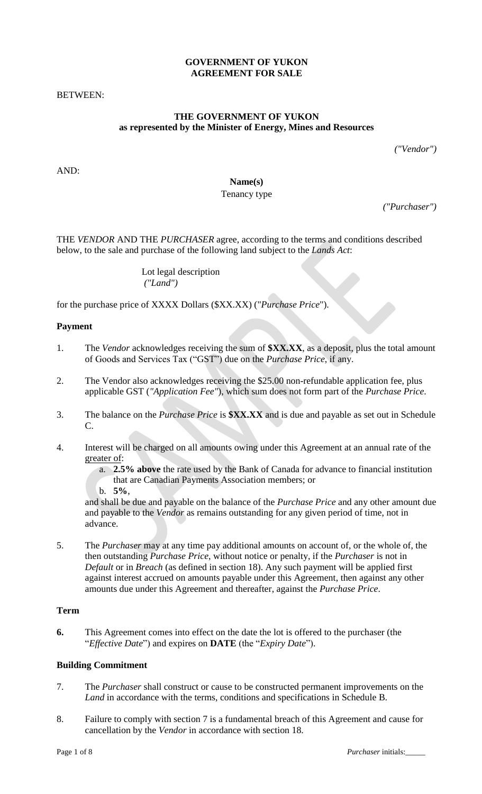### **GOVERNMENT OF YUKON AGREEMENT FOR SALE**

BETWEEN:

### **THE GOVERNMENT OF YUKON as represented by the Minister of Energy, Mines and Resources**

*("Vendor")*

AND:

# **Name(s)**

# Tenancy type

*("Purchaser")*

THE *VENDOR* AND THE *PURCHASER* agree, according to the terms and conditions described below, to the sale and purchase of the following land subject to the *Lands Act*:

> Lot legal description *("Land")*

for the purchase price of XXXX Dollars (\$XX.XX) ("*Purchase Price*").

### **Payment**

- 1. The *Vendor* acknowledges receiving the sum of **\$XX.XX**, as a deposit, plus the total amount of Goods and Services Tax ("GST") due on the *Purchase Price*, if any.
- 2. The Vendor also acknowledges receiving the \$25.00 non-refundable application fee, plus applicable GST (*"Application Fee"*), which sum does not form part of the *Purchase Price*.
- 3. The balance on the *Purchase Price* is **\$XX.XX** and is due and payable as set out in Schedule C.
- 4. Interest will be charged on all amounts owing under this Agreement at an annual rate of the greater of:
	- a. **2.5% above** the rate used by the Bank of Canada for advance to financial institution that are Canadian Payments Association members; or
	- b. **5%**,

and shall be due and payable on the balance of the *Purchase Price* and any other amount due and payable to the *Vendor* as remains outstanding for any given period of time, not in advance.

5. The *Purchaser* may at any time pay additional amounts on account of, or the whole of, the then outstanding *Purchase Price*, without notice or penalty, if the *Purchaser* is not in *Default* or in *Breach* (as defined in section 18). Any such payment will be applied first against interest accrued on amounts payable under this Agreement, then against any other amounts due under this Agreement and thereafter, against the *Purchase Price*.

# **Term**

**6.** This Agreement comes into effect on the date the lot is offered to the purchaser (the "*Effective Date*") and expires on **DATE** (the "*Expiry Date*").

#### **Building Commitment**

- 7. The *Purchaser* shall construct or cause to be constructed permanent improvements on the *Land* in accordance with the terms, conditions and specifications in Schedule B*.*
- 8. Failure to comply with section 7 is a fundamental breach of this Agreement and cause for cancellation by the *Vendor* in accordance with section 18.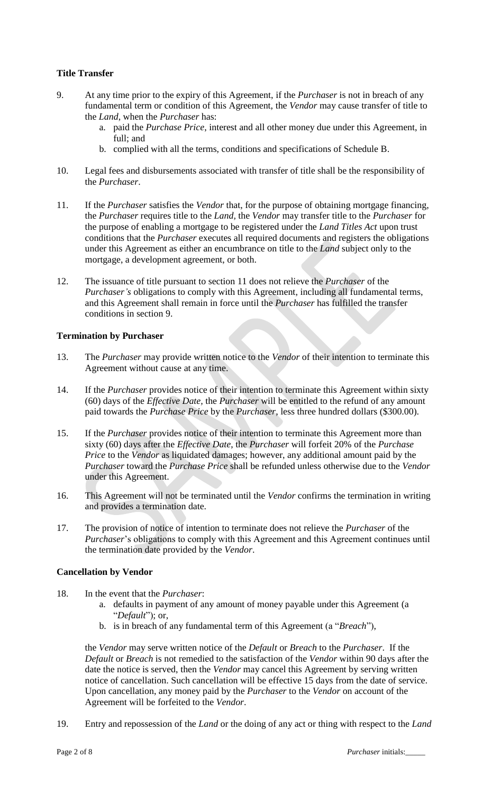# **Title Transfer**

- 9. At any time prior to the expiry of this Agreement, if the *Purchaser* is not in breach of any fundamental term or condition of this Agreement, the *Vendor* may cause transfer of title to the *Land*, when the *Purchaser* has:
	- a. paid the *Purchase Price*, interest and all other money due under this Agreement, in full; and
	- b. complied with all the terms, conditions and specifications of Schedule B.
- 10. Legal fees and disbursements associated with transfer of title shall be the responsibility of the *Purchaser*.
- 11. If the *Purchaser* satisfies the *Vendor* that, for the purpose of obtaining mortgage financing, the *Purchaser* requires title to the *Land,* the *Vendor* may transfer title to the *Purchaser* for the purpose of enabling a mortgage to be registered under the *Land Titles Act* upon trust conditions that the *Purchaser* executes all required documents and registers the obligations under this Agreement as either an encumbrance on title to the *Land* subject only to the mortgage, a development agreement, or both.
- 12. The issuance of title pursuant to section 11 does not relieve the *Purchaser* of the *Purchaser's* obligations to comply with this Agreement, including all fundamental terms, and this Agreement shall remain in force until the *Purchaser* has fulfilled the transfer conditions in section 9.

### **Termination by Purchaser**

- 13. The *Purchaser* may provide written notice to the *Vendor* of their intention to terminate this Agreement without cause at any time.
- 14. If the *Purchaser* provides notice of their intention to terminate this Agreement within sixty (60) days of the *Effective Date,* the *Purchaser* will be entitled to the refund of any amount paid towards the *Purchase Price* by the *Purchaser*, less three hundred dollars (\$300.00).
- 15. If the *Purchaser* provides notice of their intention to terminate this Agreement more than sixty (60) days after the *Effective Date*, the *Purchaser* will forfeit 20% of the *Purchase Price* to the *Vendor* as liquidated damages; however, any additional amount paid by the *Purchaser* toward the *Purchase Price* shall be refunded unless otherwise due to the *Vendor*  under this Agreement.
- 16. This Agreement will not be terminated until the *Vendor* confirms the termination in writing and provides a termination date.
- 17. The provision of notice of intention to terminate does not relieve the *Purchaser* of the *Purchaser*'s obligations to comply with this Agreement and this Agreement continues until the termination date provided by the *Vendor*.

#### **Cancellation by Vendor**

- 18. In the event that the *Purchaser*:
	- a. defaults in payment of any amount of money payable under this Agreement (a "*Default*"); or,
	- b. is in breach of any fundamental term of this Agreement (a "*Breach*"),

the *Vendor* may serve written notice of the *Default* or *Breach* to the *Purchaser*. If the *Default* or *Breach* is not remedied to the satisfaction of the *Vendor* within 90 days after the date the notice is served, then the *Vendor* may cancel this Agreement by serving written notice of cancellation. Such cancellation will be effective 15 days from the date of service. Upon cancellation, any money paid by the *Purchaser* to the *Vendor* on account of the Agreement will be forfeited to the *Vendor*.

19. Entry and repossession of the *Land* or the doing of any act or thing with respect to the *Land*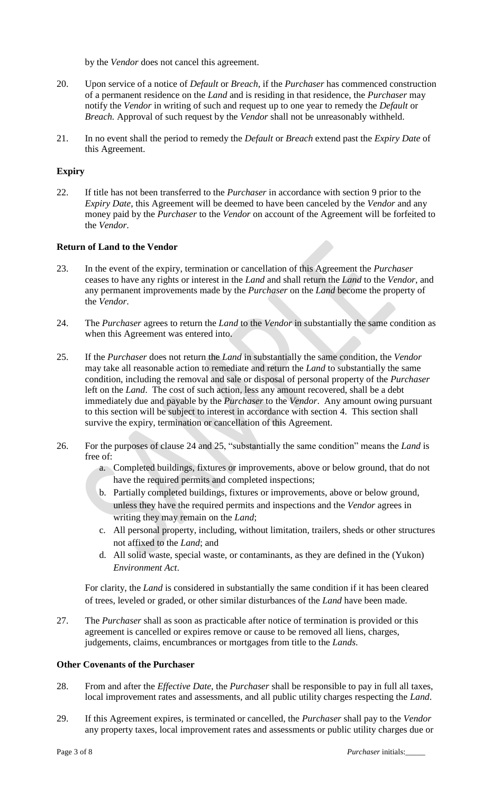by the *Vendor* does not cancel this agreement.

- 20. Upon service of a notice of *Default* or *Breach*, if the *Purchaser* has commenced construction of a permanent residence on the *Land* and is residing in that residence, the *Purchaser* may notify the *Vendor* in writing of such and request up to one year to remedy the *Default* or *Breach.* Approval of such request by the *Vendor* shall not be unreasonably withheld.
- 21. In no event shall the period to remedy the *Default* or *Breach* extend past the *Expiry Date* of this Agreement.

# **Expiry**

22. If title has not been transferred to the *Purchaser* in accordance with section 9 prior to the *Expiry Date*, this Agreement will be deemed to have been canceled by the *Vendor* and any money paid by the *Purchaser* to the *Vendor* on account of the Agreement will be forfeited to the *Vendor*.

#### **Return of Land to the Vendor**

- 23. In the event of the expiry, termination or cancellation of this Agreement the *Purchaser* ceases to have any rights or interest in the *Land* and shall return the *Land* to the *Vendor*, and any permanent improvements made by the *Purchaser* on the *Land* become the property of the *Vendor*.
- 24. The *Purchaser* agrees to return the *Land* to the *Vendor* in substantially the same condition as when this Agreement was entered into.
- 25. If the *Purchaser* does not return the *Land* in substantially the same condition, the *Vendor* may take all reasonable action to remediate and return the *Land* to substantially the same condition, including the removal and sale or disposal of personal property of the *Purchaser* left on the *Land*. The cost of such action, less any amount recovered, shall be a debt immediately due and payable by the *Purchaser* to the *Vendor*. Any amount owing pursuant to this section will be subject to interest in accordance with section 4. This section shall survive the expiry, termination or cancellation of this Agreement.
- 26. For the purposes of clause 24 and 25, "substantially the same condition" means the *Land* is free of:
	- a. Completed buildings, fixtures or improvements, above or below ground, that do not have the required permits and completed inspections;
	- b. Partially completed buildings, fixtures or improvements, above or below ground, unless they have the required permits and inspections and the *Vendor* agrees in writing they may remain on the *Land*;
	- c. All personal property, including, without limitation, trailers, sheds or other structures not affixed to the *Land*; and
	- d. All solid waste, special waste, or contaminants, as they are defined in the (Yukon) *Environment Act*.

For clarity, the *Land* is considered in substantially the same condition if it has been cleared of trees, leveled or graded, or other similar disturbances of the *Land* have been made.

27. The *Purchaser* shall as soon as practicable after notice of termination is provided or this agreement is cancelled or expires remove or cause to be removed all liens, charges, judgements, claims, encumbrances or mortgages from title to the *Lands*.

#### **Other Covenants of the Purchaser**

- 28. From and after the *Effective Date*, the *Purchaser* shall be responsible to pay in full all taxes, local improvement rates and assessments, and all public utility charges respecting the *Land*.
- 29. If this Agreement expires, is terminated or cancelled, the *Purchaser* shall pay to the *Vendor* any property taxes, local improvement rates and assessments or public utility charges due or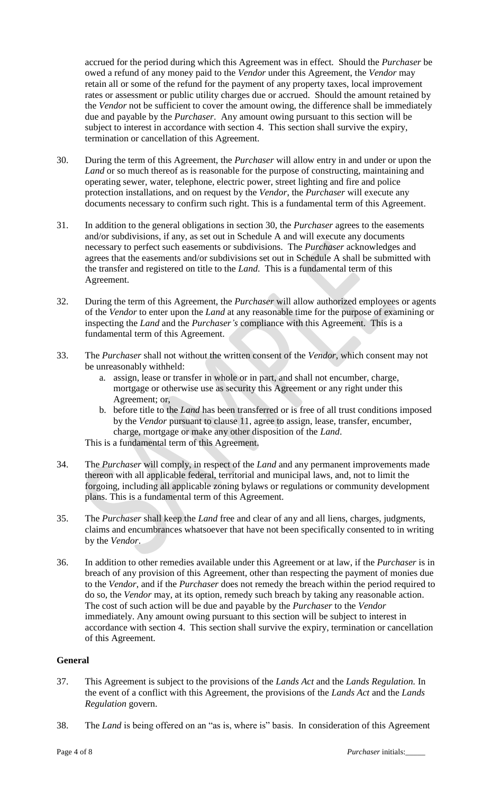accrued for the period during which this Agreement was in effect. Should the *Purchaser* be owed a refund of any money paid to the *Vendor* under this Agreement, the *Vendor* may retain all or some of the refund for the payment of any property taxes, local improvement rates or assessment or public utility charges due or accrued. Should the amount retained by the *Vendor* not be sufficient to cover the amount owing, the difference shall be immediately due and payable by the *Purchaser*. Any amount owing pursuant to this section will be subject to interest in accordance with section 4. This section shall survive the expiry, termination or cancellation of this Agreement.

- 30. During the term of this Agreement, the *Purchaser* will allow entry in and under or upon the *Land* or so much thereof as is reasonable for the purpose of constructing, maintaining and operating sewer, water, telephone, electric power, street lighting and fire and police protection installations, and on request by the *Vendor*, the *Purchaser* will execute any documents necessary to confirm such right. This is a fundamental term of this Agreement.
- 31. In addition to the general obligations in section 30, the *Purchaser* agrees to the easements and/or subdivisions, if any, as set out in Schedule A and will execute any documents necessary to perfect such easements or subdivisions. The *Purchaser* acknowledges and agrees that the easements and/or subdivisions set out in Schedule A shall be submitted with the transfer and registered on title to the *Land*. This is a fundamental term of this Agreement.
- 32. During the term of this Agreement, the *Purchaser* will allow authorized employees or agents of the *Vendor* to enter upon the *Land* at any reasonable time for the purpose of examining or inspecting the *Land* and the *Purchaser's* compliance with this Agreement. This is a fundamental term of this Agreement.
- 33. The *Purchaser* shall not without the written consent of the *Vendor*, which consent may not be unreasonably withheld:
	- a. assign, lease or transfer in whole or in part, and shall not encumber, charge, mortgage or otherwise use as security this Agreement or any right under this Agreement; or,
	- b. before title to the *Land* has been transferred or is free of all trust conditions imposed by the *Vendor* pursuant to clause 11, agree to assign, lease, transfer, encumber, charge, mortgage or make any other disposition of the *Land*.

This is a fundamental term of this Agreement.

- 34. The *Purchaser* will comply, in respect of the *Land* and any permanent improvements made thereon with all applicable federal, territorial and municipal laws, and, not to limit the forgoing, including all applicable zoning bylaws or regulations or community development plans. This is a fundamental term of this Agreement.
- 35. The *Purchaser* shall keep the *Land* free and clear of any and all liens, charges, judgments, claims and encumbrances whatsoever that have not been specifically consented to in writing by the *Vendor*.
- 36. In addition to other remedies available under this Agreement or at law, if the *Purchaser* is in breach of any provision of this Agreement, other than respecting the payment of monies due to the *Vendor*, and if the *Purchaser* does not remedy the breach within the period required to do so, the *Vendor* may, at its option, remedy such breach by taking any reasonable action. The cost of such action will be due and payable by the *Purchaser* to the *Vendor* immediately. Any amount owing pursuant to this section will be subject to interest in accordance with section 4. This section shall survive the expiry, termination or cancellation of this Agreement.

# **General**

- 37. This Agreement is subject to the provisions of the *Lands Act* and the *Lands Regulation.* In the event of a conflict with this Agreement, the provisions of the *Lands Act* and the *Lands Regulation* govern.
- 38. The *Land* is being offered on an "as is, where is" basis. In consideration of this Agreement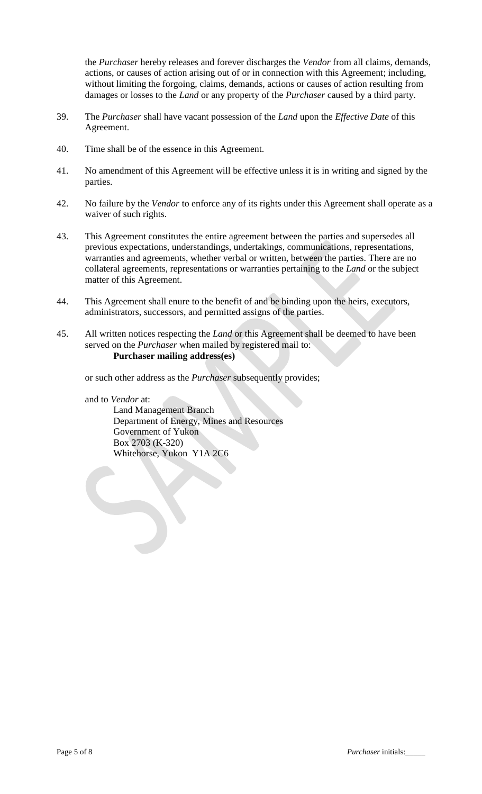the *Purchaser* hereby releases and forever discharges the *Vendor* from all claims, demands, actions, or causes of action arising out of or in connection with this Agreement; including, without limiting the forgoing, claims, demands, actions or causes of action resulting from damages or losses to the *Land* or any property of the *Purchaser* caused by a third party.

- 39. The *Purchaser* shall have vacant possession of the *Land* upon the *Effective Date* of this Agreement.
- 40. Time shall be of the essence in this Agreement.
- 41. No amendment of this Agreement will be effective unless it is in writing and signed by the parties.
- 42. No failure by the *Vendor* to enforce any of its rights under this Agreement shall operate as a waiver of such rights.
- 43. This Agreement constitutes the entire agreement between the parties and supersedes all previous expectations, understandings, undertakings, communications, representations, warranties and agreements, whether verbal or written, between the parties. There are no collateral agreements, representations or warranties pertaining to the *Land* or the subject matter of this Agreement.
- 44. This Agreement shall enure to the benefit of and be binding upon the heirs, executors, administrators, successors, and permitted assigns of the parties.
- 45. All written notices respecting the *Land* or this Agreement shall be deemed to have been served on the *Purchaser* when mailed by registered mail to: **Purchaser mailing address(es)**

or such other address as the *Purchaser* subsequently provides;

and to *Vendor* at:

Land Management Branch Department of Energy, Mines and Resources Government of Yukon Box 2703 (K-320) Whitehorse, Yukon Y1A 2C6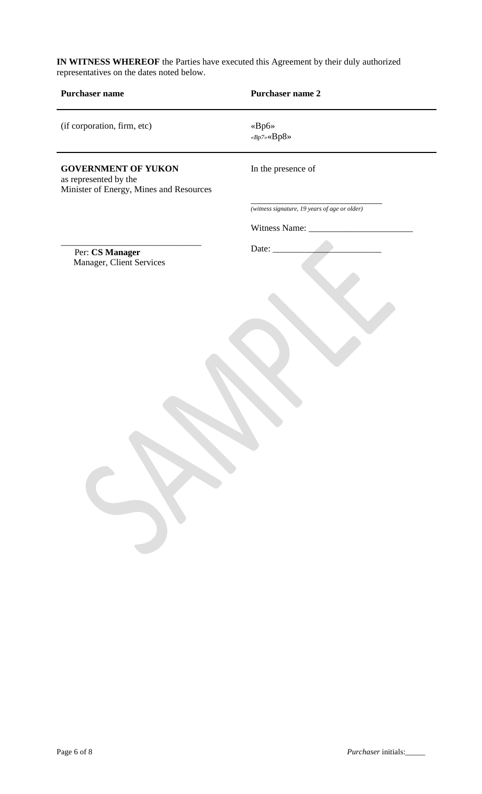**IN WITNESS WHEREOF** the Parties have executed this Agreement by their duly authorized representatives on the dates noted below.

| Purchaser name                                                                                 | Purchaser name 2                                                                |
|------------------------------------------------------------------------------------------------|---------------------------------------------------------------------------------|
| (if corporation, firm, etc)                                                                    | $\ll\!\!Bp6\!\!>$<br>${}^{\kappa}Bp7{}^{\kappa} \! \! \times \! Bp8{}^{\kappa}$ |
| <b>GOVERNMENT OF YUKON</b><br>as represented by the<br>Minister of Energy, Mines and Resources | In the presence of                                                              |
|                                                                                                | (witness signature, 19 years of age or older)                                   |
|                                                                                                | Witness Name: _                                                                 |
| Per: CS Manager                                                                                | Date:                                                                           |
| Manager, Client Services                                                                       |                                                                                 |
|                                                                                                |                                                                                 |
|                                                                                                |                                                                                 |
|                                                                                                |                                                                                 |
|                                                                                                |                                                                                 |
|                                                                                                |                                                                                 |
|                                                                                                |                                                                                 |
|                                                                                                |                                                                                 |
|                                                                                                |                                                                                 |
|                                                                                                |                                                                                 |
|                                                                                                |                                                                                 |
|                                                                                                |                                                                                 |
|                                                                                                |                                                                                 |
|                                                                                                |                                                                                 |
|                                                                                                |                                                                                 |
|                                                                                                |                                                                                 |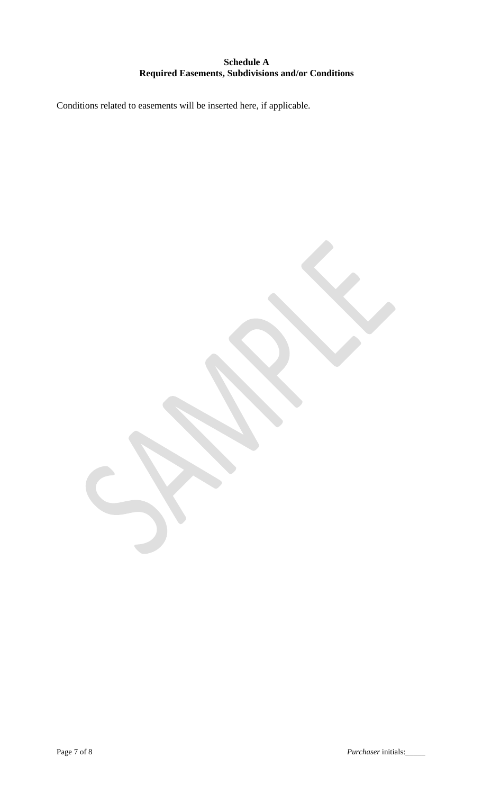# **Schedule A Required Easements, Subdivisions and/or Conditions**

Conditions related to easements will be inserted here, if applicable.